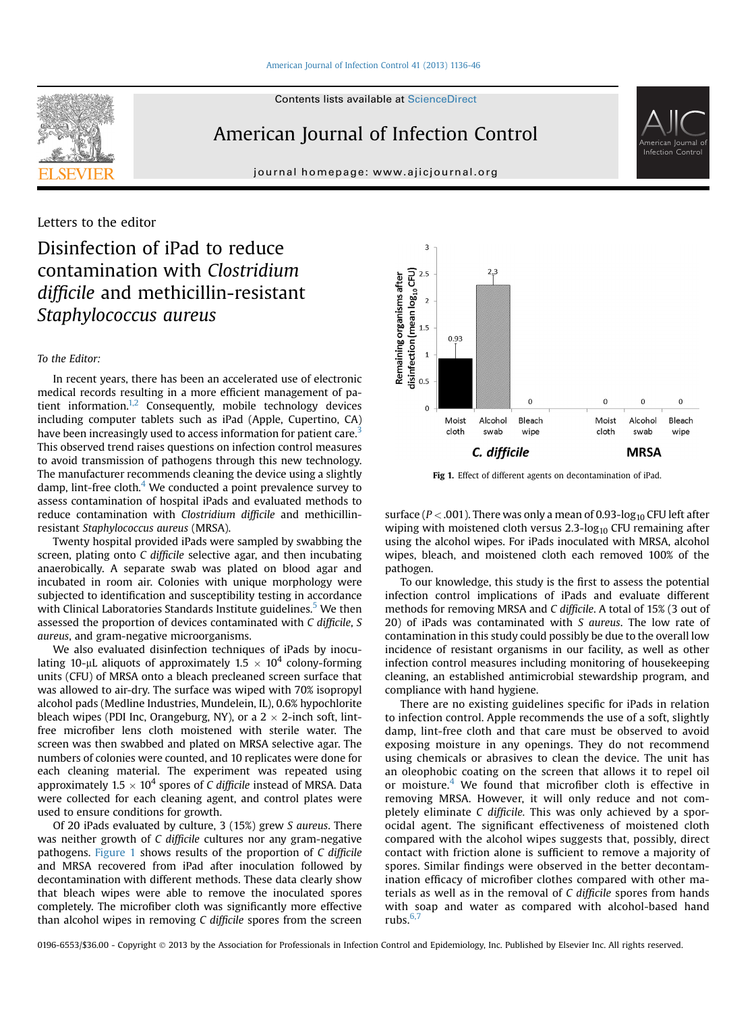



journal homepage: [www.ajicjournal.org](http://www.ajicjournal.org)



## Letters to the editor

# Disinfection of iPad to reduce contamination with Clostridium difficile and methicillin-resistant Staphylococcus aureus

### To the Editor:

In recent years, there has been an accelerated use of electronic medical records resulting in a more efficient management of patient information. $1,2$  Consequently, mobile technology devices including computer tablets such as iPad (Apple, Cupertino, CA) have been increasingly used to access information for patient care.<sup>[3](#page-1-0)</sup> This observed trend raises questions on infection control measures to avoid transmission of pathogens through this new technology. The manufacturer recommends cleaning the device using a slightly damp, lint-free cloth. $4$  We conducted a point prevalence survey to assess contamination of hospital iPads and evaluated methods to reduce contamination with Clostridium difficile and methicillinresistant Staphylococcus aureus (MRSA).

Twenty hospital provided iPads were sampled by swabbing the screen, plating onto C difficile selective agar, and then incubating anaerobically. A separate swab was plated on blood agar and incubated in room air. Colonies with unique morphology were subjected to identification and susceptibility testing in accordance with Clinical Laboratories Standards Institute guidelines.<sup>[5](#page-1-0)</sup> We then assessed the proportion of devices contaminated with C difficile, S aureus, and gram-negative microorganisms.

We also evaluated disinfection techniques of iPads by inoculating 10-µL aliquots of approximately 1.5  $\times$  10<sup>4</sup> colony-forming units (CFU) of MRSA onto a bleach precleaned screen surface that was allowed to air-dry. The surface was wiped with 70% isopropyl alcohol pads (Medline Industries, Mundelein, IL), 0.6% hypochlorite bleach wipes (PDI Inc, Orangeburg, NY), or a  $2 \times 2$ -inch soft, lintfree microfiber lens cloth moistened with sterile water. The screen was then swabbed and plated on MRSA selective agar. The numbers of colonies were counted, and 10 replicates were done for each cleaning material. The experiment was repeated using approximately 1.5  $\times$  10<sup>4</sup> spores of C difficile instead of MRSA. Data were collected for each cleaning agent, and control plates were used to ensure conditions for growth.

Of 20 iPads evaluated by culture, 3 (15%) grew S aureus. There was neither growth of C difficile cultures nor any gram-negative pathogens. Figure 1 shows results of the proportion of C difficile and MRSA recovered from iPad after inoculation followed by decontamination with different methods. These data clearly show that bleach wipes were able to remove the inoculated spores completely. The microfiber cloth was significantly more effective than alcohol wipes in removing C difficile spores from the screen



Fig 1. Effect of different agents on decontamination of iPad.

surface ( $P < .001$ ). There was only a mean of 0.93-log<sub>10</sub> CFU left after wiping with moistened cloth versus  $2.3$ -log<sub>10</sub> CFU remaining after using the alcohol wipes. For iPads inoculated with MRSA, alcohol wipes, bleach, and moistened cloth each removed 100% of the pathogen.

To our knowledge, this study is the first to assess the potential infection control implications of iPads and evaluate different methods for removing MRSA and C difficile. A total of 15% (3 out of 20) of iPads was contaminated with S aureus. The low rate of contamination in this study could possibly be due to the overall low incidence of resistant organisms in our facility, as well as other infection control measures including monitoring of housekeeping cleaning, an established antimicrobial stewardship program, and compliance with hand hygiene.

There are no existing guidelines specific for iPads in relation to infection control. Apple recommends the use of a soft, slightly damp, lint-free cloth and that care must be observed to avoid exposing moisture in any openings. They do not recommend using chemicals or abrasives to clean the device. The unit has an oleophobic coating on the screen that allows it to repel oil or moisture. $4$  We found that microfiber cloth is effective in removing MRSA. However, it will only reduce and not completely eliminate C difficile. This was only achieved by a sporocidal agent. The significant effectiveness of moistened cloth compared with the alcohol wipes suggests that, possibly, direct contact with friction alone is sufficient to remove a majority of spores. Similar findings were observed in the better decontamination efficacy of microfiber clothes compared with other materials as well as in the removal of C difficile spores from hands with soap and water as compared with alcohol-based hand rubs. $6,7$ 

0196-6553/\$36.00 - Copyright © 2013 by the Association for Professionals in Infection Control and Epidemiology, Inc. Published by Elsevier Inc. All rights reserved.